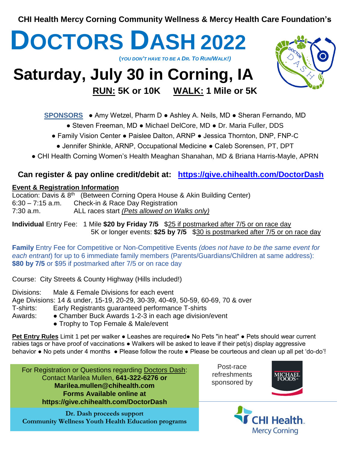**CHI Health Mercy Corning Community Wellness & Mercy Health Care Foundation's**



### **SPONSORS** ● Amy Wetzel, Pharm D ● Ashley A. Neils, MD ● Sheran Fernando, MD

- Steven Freeman, MD Michael DelCore, MD Dr. Maria Fuller, DDS
- Family Vision Center Paislee Dalton, ARNP Jessica Thornton, DNP, FNP-C
	- Jennifer Shinkle, ARNP, Occupational Medicine Caleb Sorensen, PT, DPT
- CHI Health Corning Women's Health Meaghan Shanahan, MD & Briana Harris-Mayle, APRN

# **Can register & pay online credit/debit at: <https://give.chihealth.com/DoctorDash>**

## **Event & Registration Information**

Location: Davis & 8<sup>th</sup> (Between Corning Opera House & Akin Building Center) Check-in & Race Day Registration 7:30 a.m. ALL races start *(Pets allowed on Walks only)*  $6:30 - 7:15$  a.m.

**Individual** Entry Fee: 1 Mile \$20 by Friday 7/5  $$25$  if postmarked after 7/5 or on race day 5K or longer events: **\$25 by 7/5** \$30 is postmarked after 7/5 or on race day

**Family** Entry Fee for Competitive or Non-Competitive Events *(does not have to be the same event for each entrant*) for up to 6 immediate family members (Parents/Guardians/Children at same address): **\$80 by 7/5** or \$95 if postmarked after 7/5 or on race day

Course: City Streets & County Highway (Hills included!)

Divisions: Male & Female Divisions for each event Age Divisions: 14 & under, 15-19, 20-29, 30-39, 40-49, 50-59, 60-69, 70 & over T-shirts: Early Registrants guaranteed performance T-shirts Awards: ● Chamber Buck Awards 1-2-3 in each age division/event

- - Trophy to Top Female & Male/event

**Pet Entry Rules** Limit 1 pet per walker • Leashes are required• No Pets "in heat" • Pets should wear current rabies tags or have proof of vaccinations ● Walkers will be asked to leave if their pet(s) display aggressive behavior • No pets under 4 months • Please follow the route • Please be courteous and clean up all pet 'do-do'!

For Registration or Questions regarding Doctors Dash: Contact Marilea Mullen, **641-322-6276 or Marilea.mullen@chihealth.com Forms Available online at https://give.chihealth.com/DoctorDash**

**Dr. Dash proceeds support Community Wellness Youth Health Education programs**

Post-race refreshments sponsored by